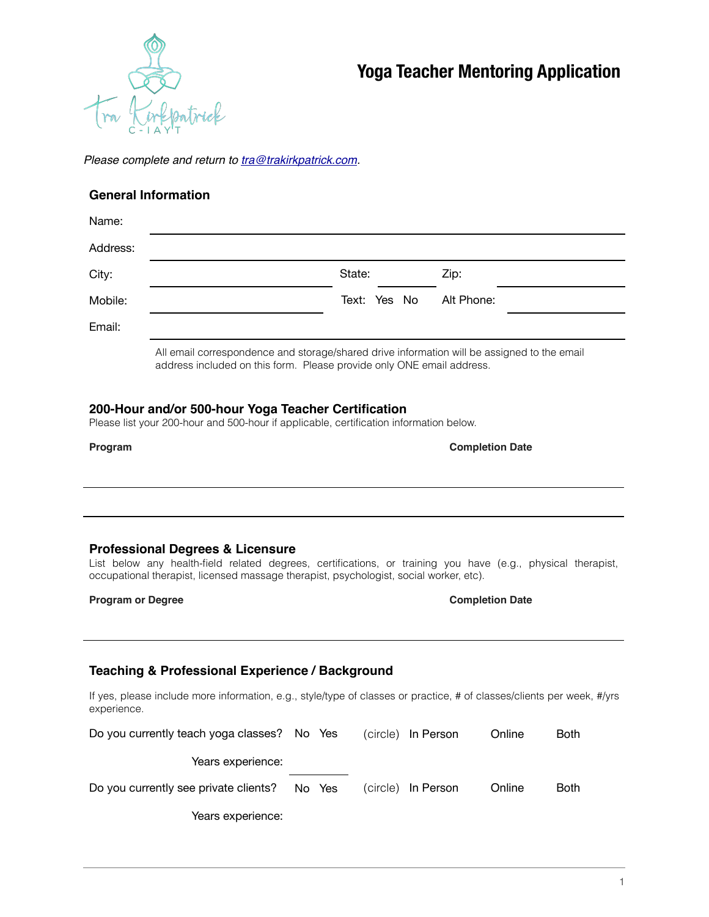

*Please complete and return to [tra@trakirkpatrick.com](mailto:tra@trakirkpatrick.com).* 

### **General Information**

| Name:    |                                                                                             |              |            |  |  |  |  |  |
|----------|---------------------------------------------------------------------------------------------|--------------|------------|--|--|--|--|--|
| Address: |                                                                                             |              |            |  |  |  |  |  |
| City:    |                                                                                             | State:       | Zip:       |  |  |  |  |  |
| Mobile:  |                                                                                             | Text: Yes No | Alt Phone: |  |  |  |  |  |
| Email:   |                                                                                             |              |            |  |  |  |  |  |
|          | All email correspondence and storage/shared drive information will be assigned to the email |              |            |  |  |  |  |  |

address included on this form. Please provide only ONE email address.

## **200-Hour and/or 500-hour Yoga Teacher Certification**

Please list your 200-hour and 500-hour if applicable, certification information below.

| ram<br>10 |
|-----------|
|-----------|

**Completion Date** 

### **Professional Degrees & Licensure**

List below any health-field related degrees, certifications, or training you have (e.g., physical therapist, occupational therapist, licensed massage therapist, psychologist, social worker, etc).

#### **Program or Degree**  Completion Date **Completion Date**

### **Teaching & Professional Experience / Background**

If yes, please include more information, e.g., style/type of classes or practice, # of classes/clients per week, #/yrs experience.

| Do you currently teach yoga classes? No Yes |  |        | (circle) In Person | Online | <b>Both</b> |
|---------------------------------------------|--|--------|--------------------|--------|-------------|
| Years experience:                           |  |        |                    |        |             |
| Do you currently see private clients?       |  | No Yes | (circle) In Person | Online | <b>Both</b> |
| Years experience:                           |  |        |                    |        |             |